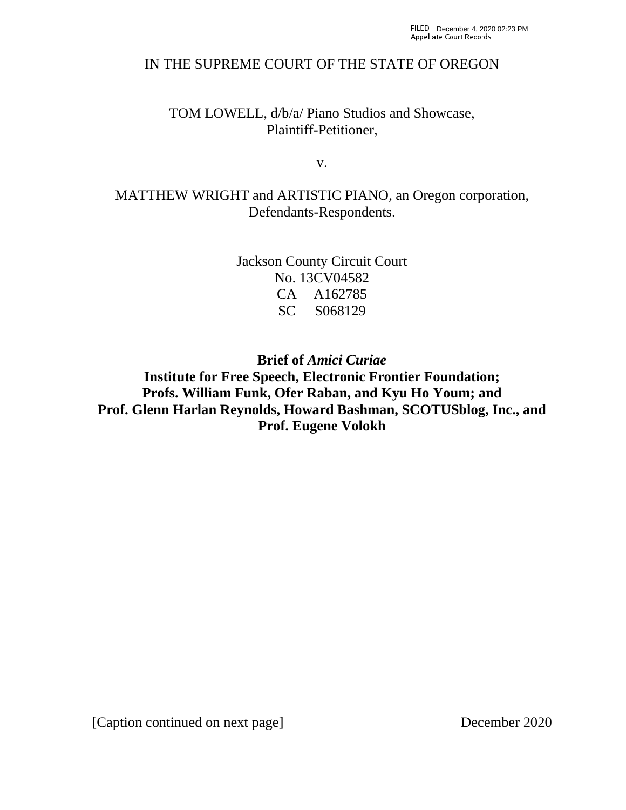## IN THE SUPREME COURT OF THE STATE OF OREGON

TOM LOWELL, d/b/a/ Piano Studios and Showcase, Plaintiff-Petitioner,

v.

MATTHEW WRIGHT and ARTISTIC PIANO, an Oregon corporation, Defendants-Respondents.

> Jackson County Circuit Court No. 13CV04582 CA A162785 SC S068129

**Brief of** *Amici Curiae*  **Institute for Free Speech, Electronic Frontier Foundation; Profs. William Funk, Ofer Raban, and Kyu Ho Youm; and Prof. Glenn Harlan Reynolds, Howard Bashman, SCOTUSblog, Inc., and Prof. Eugene Volokh**

[Caption continued on next page] December 2020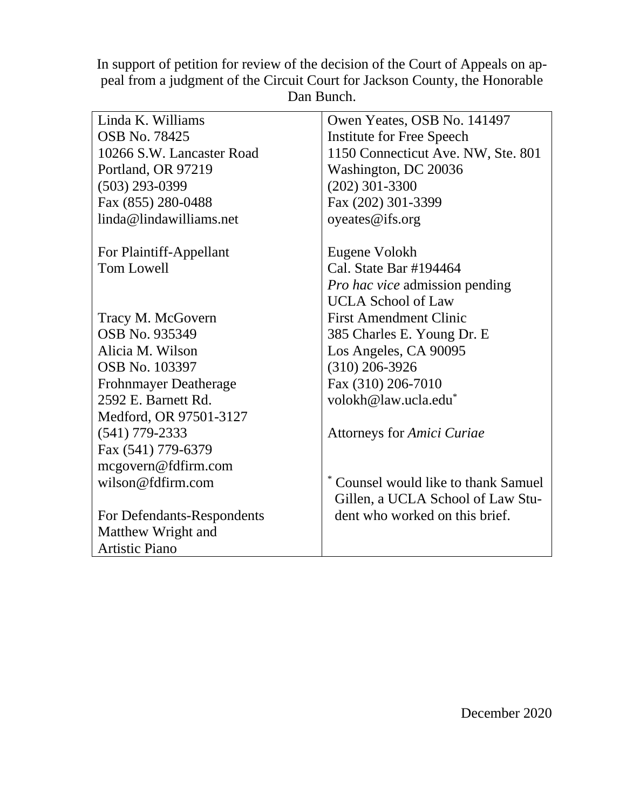In support of petition for review of the decision of the Court of Appeals on appeal from a judgment of the Circuit Court for Jackson County, the Honorable Dan Bunch.

| Linda K. Williams            | Owen Yeates, OSB No. 141497           |
|------------------------------|---------------------------------------|
| <b>OSB No. 78425</b>         | Institute for Free Speech             |
| 10266 S.W. Lancaster Road    | 1150 Connecticut Ave. NW, Ste. 801    |
| Portland, OR 97219           | Washington, DC 20036                  |
| $(503)$ 293-0399             | $(202)$ 301-3300                      |
| Fax (855) 280-0488           | Fax (202) 301-3399                    |
| linda@lindawilliams.net      | oyeates@ifs.org                       |
| For Plaintiff-Appellant      | Eugene Volokh                         |
| Tom Lowell                   | Cal. State Bar #194464                |
|                              | <i>Pro hac vice</i> admission pending |
|                              | <b>UCLA School of Law</b>             |
| Tracy M. McGovern            | <b>First Amendment Clinic</b>         |
| OSB No. 935349               | 385 Charles E. Young Dr. E            |
| Alicia M. Wilson             | Los Angeles, CA 90095                 |
| <b>OSB No. 103397</b>        | $(310)$ 206-3926                      |
| <b>Frohnmayer Deatherage</b> | Fax (310) 206-7010                    |
| 2592 E. Barnett Rd.          | volokh@law.ucla.edu <sup>*</sup>      |
| Medford, OR 97501-3127       |                                       |
| $(541)$ 779-2333             | <b>Attorneys for Amici Curiae</b>     |
| Fax (541) 779-6379           |                                       |
| mcgovern@fdfirm.com          |                                       |
| wilson@fdfirm.com            | Counsel would like to thank Samuel    |
|                              | Gillen, a UCLA School of Law Stu-     |
| For Defendants-Respondents   | dent who worked on this brief.        |
| Matthew Wright and           |                                       |
| <b>Artistic Piano</b>        |                                       |

December 2020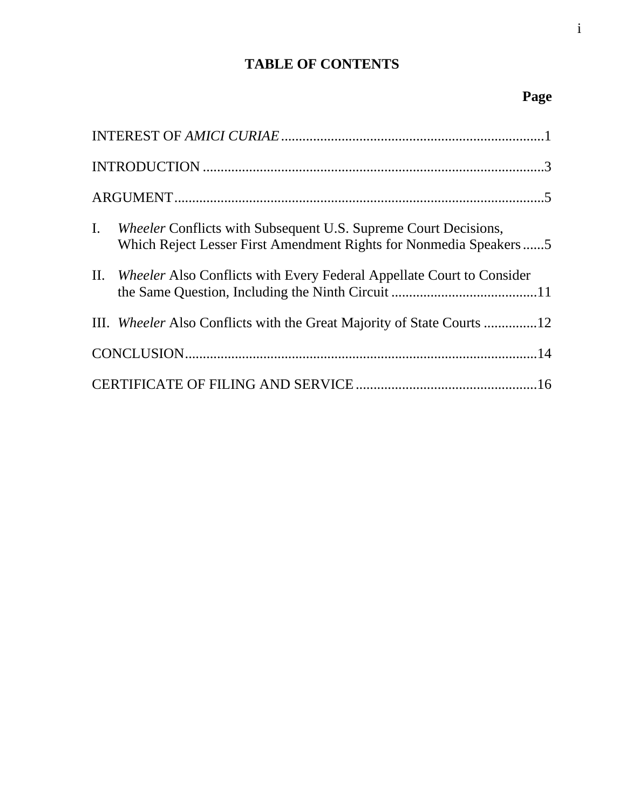# **TABLE OF CONTENTS**

# **Page**

| $\mathbf{I}$ . | <i>Wheeler</i> Conflicts with Subsequent U.S. Supreme Court Decisions,<br>Which Reject Lesser First Amendment Rights for Nonmedia Speakers5 |  |  |  |
|----------------|---------------------------------------------------------------------------------------------------------------------------------------------|--|--|--|
|                | II. Wheeler Also Conflicts with Every Federal Appellate Court to Consider                                                                   |  |  |  |
|                | III. Wheeler Also Conflicts with the Great Majority of State Courts 12                                                                      |  |  |  |
|                |                                                                                                                                             |  |  |  |
|                |                                                                                                                                             |  |  |  |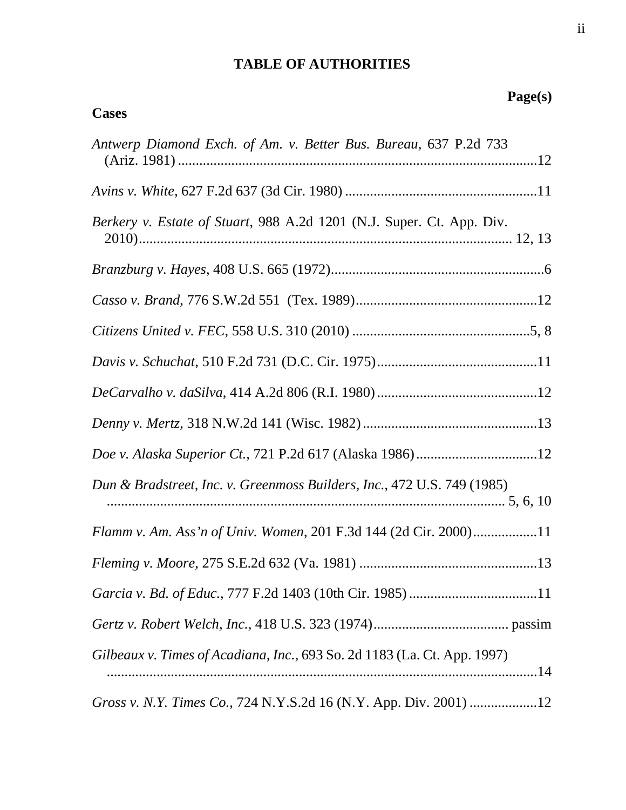## **TABLE OF AUTHORITIES**

**Cases**

# **Page(s)**

| Antwerp Diamond Exch. of Am. v. Better Bus. Bureau, 637 P.2d 733         |
|--------------------------------------------------------------------------|
|                                                                          |
| Berkery v. Estate of Stuart, 988 A.2d 1201 (N.J. Super. Ct. App. Div.    |
|                                                                          |
|                                                                          |
|                                                                          |
|                                                                          |
|                                                                          |
|                                                                          |
|                                                                          |
| Dun & Bradstreet, Inc. v. Greenmoss Builders, Inc., 472 U.S. 749 (1985)  |
| Flamm v. Am. Ass'n of Univ. Women, 201 F.3d 144 (2d Cir. 2000)11         |
|                                                                          |
|                                                                          |
|                                                                          |
| Gilbeaux v. Times of Acadiana, Inc., 693 So. 2d 1183 (La. Ct. App. 1997) |
| Gross v. N.Y. Times Co., 724 N.Y.S.2d 16 (N.Y. App. Div. 2001) 12        |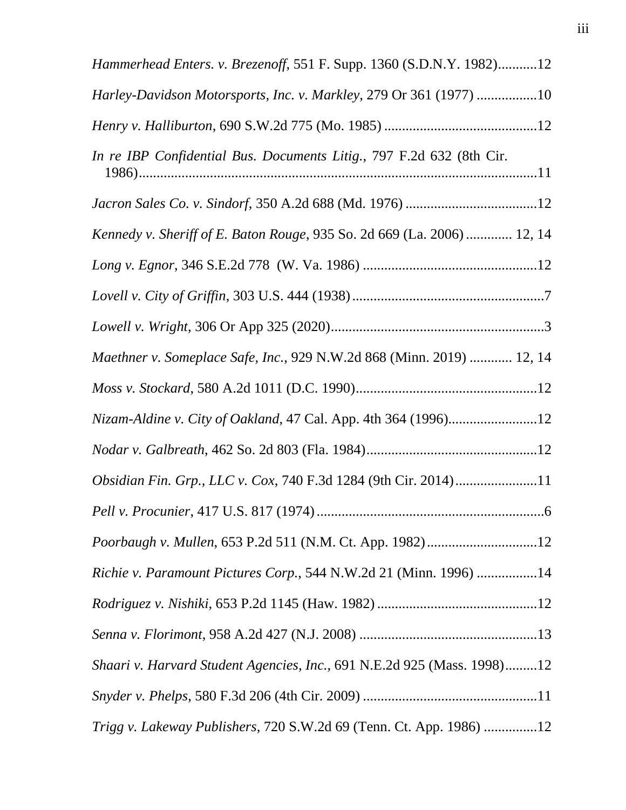| Hammerhead Enters. v. Brezenoff, 551 F. Supp. 1360 (S.D.N.Y. 1982)12    |
|-------------------------------------------------------------------------|
| Harley-Davidson Motorsports, Inc. v. Markley, 279 Or 361 (1977) 10      |
|                                                                         |
| In re IBP Confidential Bus. Documents Litig., 797 F.2d 632 (8th Cir.    |
|                                                                         |
| Kennedy v. Sheriff of E. Baton Rouge, 935 So. 2d 669 (La. 2006)  12, 14 |
|                                                                         |
|                                                                         |
|                                                                         |
| Maethner v. Someplace Safe, Inc., 929 N.W.2d 868 (Minn. 2019)  12, 14   |
|                                                                         |
| Nizam-Aldine v. City of Oakland, 47 Cal. App. 4th 364 (1996)12          |
|                                                                         |
| Obsidian Fin. Grp., LLC v. Cox, 740 F.3d 1284 (9th Cir. 2014)11         |
|                                                                         |
| Poorbaugh v. Mullen, 653 P.2d 511 (N.M. Ct. App. 1982)12                |
| Richie v. Paramount Pictures Corp., 544 N.W.2d 21 (Minn. 1996) 14       |
|                                                                         |
|                                                                         |
| Shaari v. Harvard Student Agencies, Inc., 691 N.E.2d 925 (Mass. 1998)12 |
|                                                                         |
| Trigg v. Lakeway Publishers, 720 S.W.2d 69 (Tenn. Ct. App. 1986) 12     |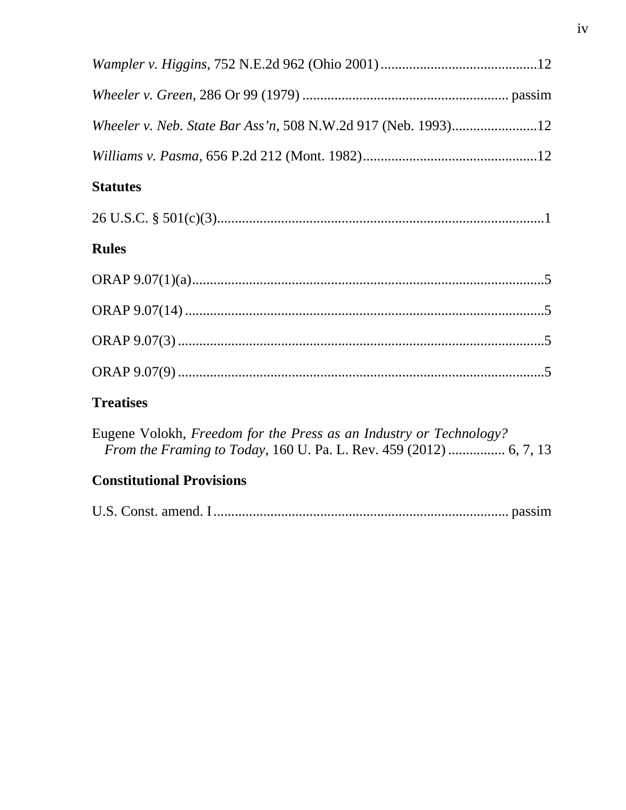| Wheeler v. Neb. State Bar Ass'n, 508 N.W.2d 917 (Neb. 1993)12      |
|--------------------------------------------------------------------|
|                                                                    |
| <b>Statutes</b>                                                    |
|                                                                    |
| <b>Rules</b>                                                       |
|                                                                    |
|                                                                    |
|                                                                    |
|                                                                    |
| <b>Treatises</b>                                                   |
| Eugene Volokh, Freedom for the Press as an Industry or Technology? |

# **Constitutional Provisions**

|--|--|--|--|--|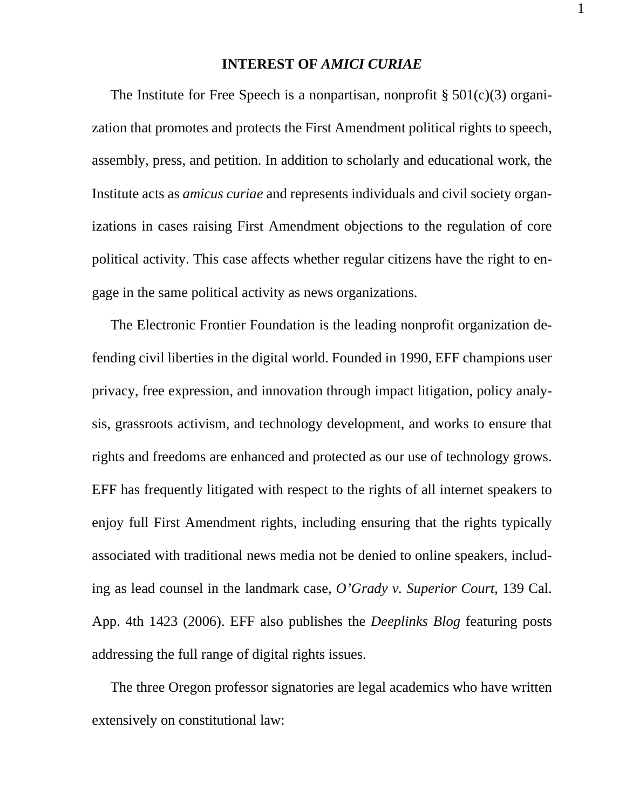### **INTEREST OF** *AMICI CURIAE*

The Institute for Free Speech is a nonpartisan, nonprofit  $\S 501(c)(3)$  organization that promotes and protects the First Amendment political rights to speech, assembly, press, and petition. In addition to scholarly and educational work, the Institute acts as *amicus curiae* and represents individuals and civil society organizations in cases raising First Amendment objections to the regulation of core political activity. This case affects whether regular citizens have the right to engage in the same political activity as news organizations.

The Electronic Frontier Foundation is the leading nonprofit organization defending civil liberties in the digital world. Founded in 1990, EFF champions user privacy, free expression, and innovation through impact litigation, policy analysis, grassroots activism, and technology development, and works to ensure that rights and freedoms are enhanced and protected as our use of technology grows. EFF has frequently litigated with respect to the rights of all internet speakers to enjoy full First Amendment rights, including ensuring that the rights typically associated with traditional news media not be denied to online speakers, including as lead counsel in the landmark case, *O'Grady v. Superior Court*, 139 Cal. App. 4th 1423 (2006). EFF also publishes the *Deeplinks Blog* featuring posts addressing the full range of digital rights issues.

The three Oregon professor signatories are legal academics who have written extensively on constitutional law:

1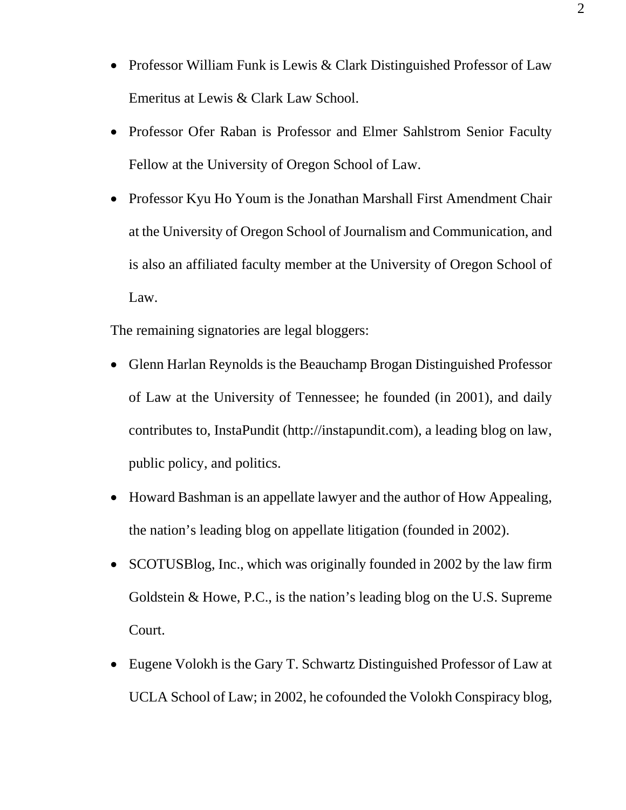- Professor William Funk is Lewis & Clark Distinguished Professor of Law Emeritus at Lewis & Clark Law School.
- Professor Ofer Raban is Professor and Elmer Sahlstrom Senior Faculty Fellow at the University of Oregon School of Law.
- Professor Kyu Ho Youm is the Jonathan Marshall First Amendment Chair at the University of Oregon School of Journalism and Communication, and is also an affiliated faculty member at the University of Oregon School of Law.

The remaining signatories are legal bloggers:

- Glenn Harlan Reynolds is the Beauchamp Brogan Distinguished Professor of Law at the University of Tennessee; he founded (in 2001), and daily contributes to, InstaPundit (http://instapundit.com), a leading blog on law, public policy, and politics.
- Howard Bashman is an appellate lawyer and the author of How Appealing, the nation's leading blog on appellate litigation (founded in 2002).
- SCOTUSBlog, Inc., which was originally founded in 2002 by the law firm Goldstein & Howe, P.C., is the nation's leading blog on the U.S. Supreme Court.
- Eugene Volokh is the Gary T. Schwartz Distinguished Professor of Law at UCLA School of Law; in 2002, he cofounded the Volokh Conspiracy blog,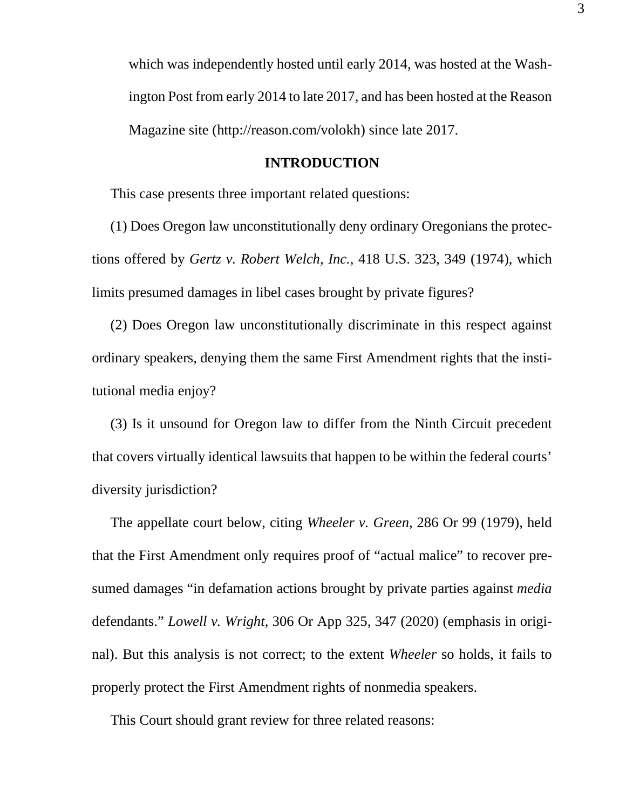which was independently hosted until early 2014, was hosted at the Washington Post from early 2014 to late 2017, and has been hosted at the Reason Magazine site (http://reason.com/volokh) since late 2017.

#### **INTRODUCTION**

This case presents three important related questions:

(1) Does Oregon law unconstitutionally deny ordinary Oregonians the protections offered by *Gertz v. Robert Welch, Inc.*, 418 U.S. 323, 349 (1974), which limits presumed damages in libel cases brought by private figures?

(2) Does Oregon law unconstitutionally discriminate in this respect against ordinary speakers, denying them the same First Amendment rights that the institutional media enjoy?

(3) Is it unsound for Oregon law to differ from the Ninth Circuit precedent that covers virtually identical lawsuits that happen to be within the federal courts' diversity jurisdiction?

The appellate court below, citing *Wheeler v. Green*, 286 Or 99 (1979), held that the First Amendment only requires proof of "actual malice" to recover presumed damages "in defamation actions brought by private parties against *media*  defendants." *Lowell v. Wright*, 306 Or App 325, 347 (2020) (emphasis in original). But this analysis is not correct; to the extent *Wheeler* so holds, it fails to properly protect the First Amendment rights of nonmedia speakers.

This Court should grant review for three related reasons: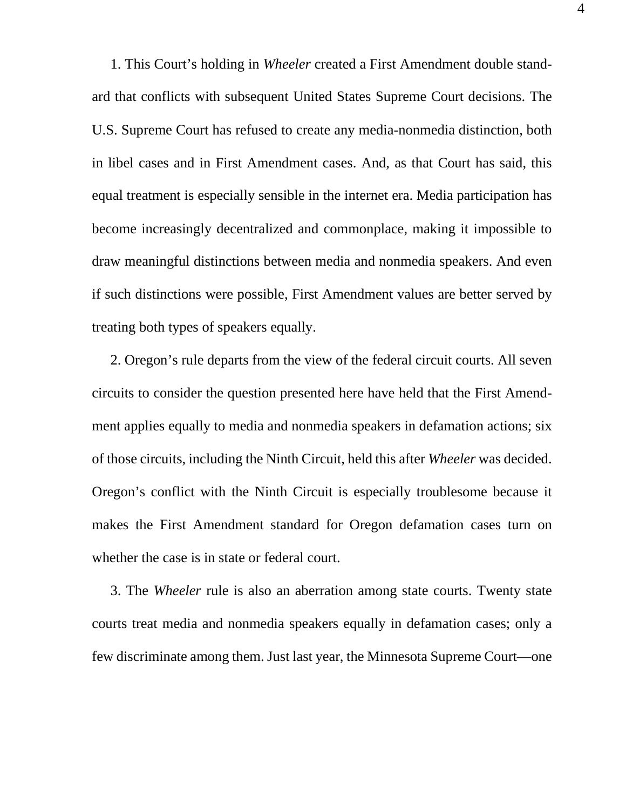1. This Court's holding in *Wheeler* created a First Amendment double standard that conflicts with subsequent United States Supreme Court decisions. The U.S. Supreme Court has refused to create any media-nonmedia distinction, both in libel cases and in First Amendment cases. And, as that Court has said, this equal treatment is especially sensible in the internet era. Media participation has become increasingly decentralized and commonplace, making it impossible to draw meaningful distinctions between media and nonmedia speakers. And even if such distinctions were possible, First Amendment values are better served by treating both types of speakers equally.

2. Oregon's rule departs from the view of the federal circuit courts. All seven circuits to consider the question presented here have held that the First Amendment applies equally to media and nonmedia speakers in defamation actions; six of those circuits, including the Ninth Circuit, held this after *Wheeler* was decided. Oregon's conflict with the Ninth Circuit is especially troublesome because it makes the First Amendment standard for Oregon defamation cases turn on whether the case is in state or federal court.

3. The *Wheeler* rule is also an aberration among state courts. Twenty state courts treat media and nonmedia speakers equally in defamation cases; only a few discriminate among them. Just last year, the Minnesota Supreme Court—one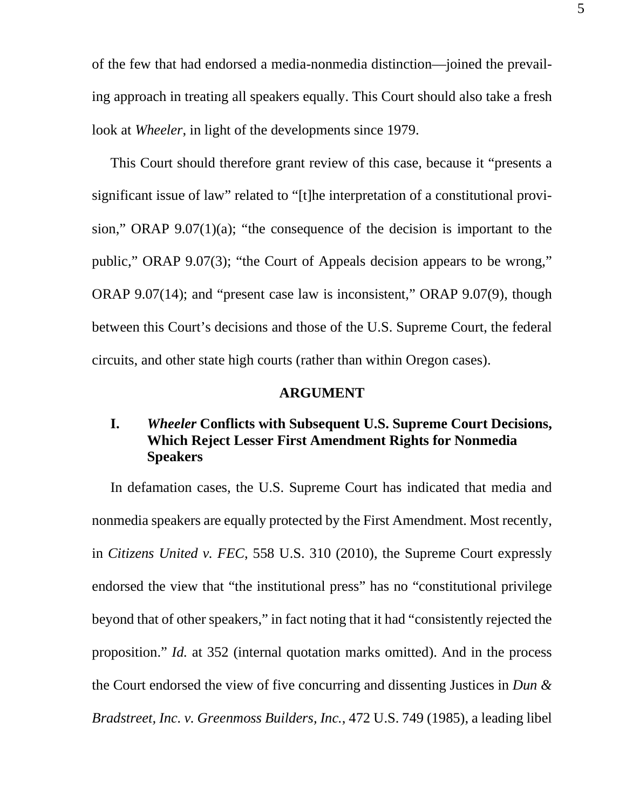of the few that had endorsed a media-nonmedia distinction—joined the prevailing approach in treating all speakers equally. This Court should also take a fresh look at *Wheeler*, in light of the developments since 1979.

This Court should therefore grant review of this case, because it "presents a significant issue of law" related to "[t]he interpretation of a constitutional provision," ORAP 9.07(1)(a); "the consequence of the decision is important to the public," ORAP 9.07(3); "the Court of Appeals decision appears to be wrong," ORAP 9.07(14); and "present case law is inconsistent," ORAP 9.07(9), though between this Court's decisions and those of the U.S. Supreme Court, the federal circuits, and other state high courts (rather than within Oregon cases).

#### **ARGUMENT**

## **I.** *Wheeler* **Conflicts with Subsequent U.S. Supreme Court Decisions, Which Reject Lesser First Amendment Rights for Nonmedia Speakers**

In defamation cases, the U.S. Supreme Court has indicated that media and nonmedia speakers are equally protected by the First Amendment. Most recently, in *Citizens United v. FEC*, 558 U.S. 310 (2010), the Supreme Court expressly endorsed the view that "the institutional press" has no "constitutional privilege beyond that of other speakers," in fact noting that it had "consistently rejected the proposition." *Id.* at 352 (internal quotation marks omitted). And in the process the Court endorsed the view of five concurring and dissenting Justices in *Dun & Bradstreet, Inc. v. Greenmoss Builders, Inc.*, 472 U.S. 749 (1985), a leading libel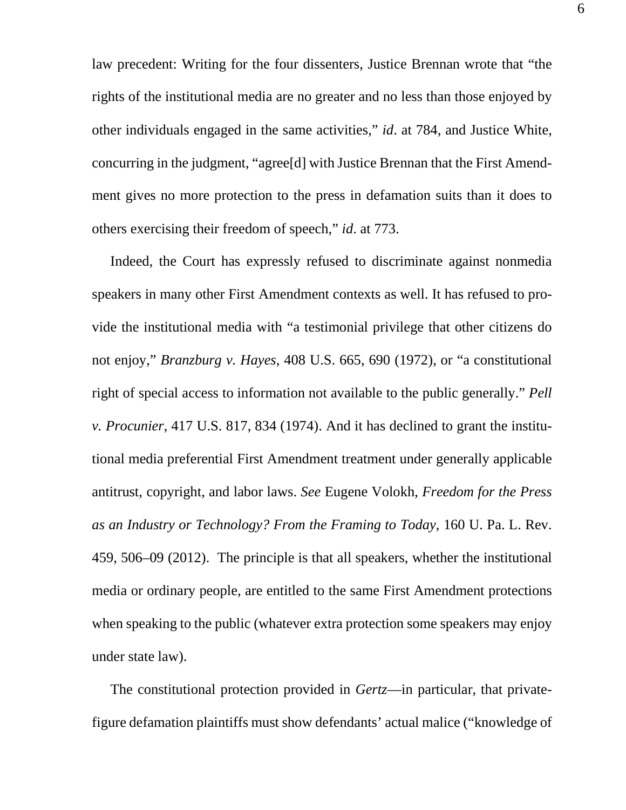law precedent: Writing for the four dissenters, Justice Brennan wrote that "the rights of the institutional media are no greater and no less than those enjoyed by other individuals engaged in the same activities," *id*. at 784, and Justice White, concurring in the judgment, "agree[d] with Justice Brennan that the First Amendment gives no more protection to the press in defamation suits than it does to others exercising their freedom of speech," *id*. at 773.

Indeed, the Court has expressly refused to discriminate against nonmedia speakers in many other First Amendment contexts as well. It has refused to provide the institutional media with "a testimonial privilege that other citizens do not enjoy," *Branzburg v. Hayes*, 408 U.S. 665, 690 (1972), or "a constitutional right of special access to information not available to the public generally." *Pell v. Procunier*, 417 U.S. 817, 834 (1974). And it has declined to grant the institutional media preferential First Amendment treatment under generally applicable antitrust, copyright, and labor laws. *See* Eugene Volokh, *Freedom for the Press as an Industry or Technology? From the Framing to Today*, 160 U. Pa. L. Rev. 459, 506–09 (2012). The principle is that all speakers, whether the institutional media or ordinary people, are entitled to the same First Amendment protections when speaking to the public (whatever extra protection some speakers may enjoy under state law).

The constitutional protection provided in *Gertz*—in particular, that privatefigure defamation plaintiffs must show defendants' actual malice ("knowledge of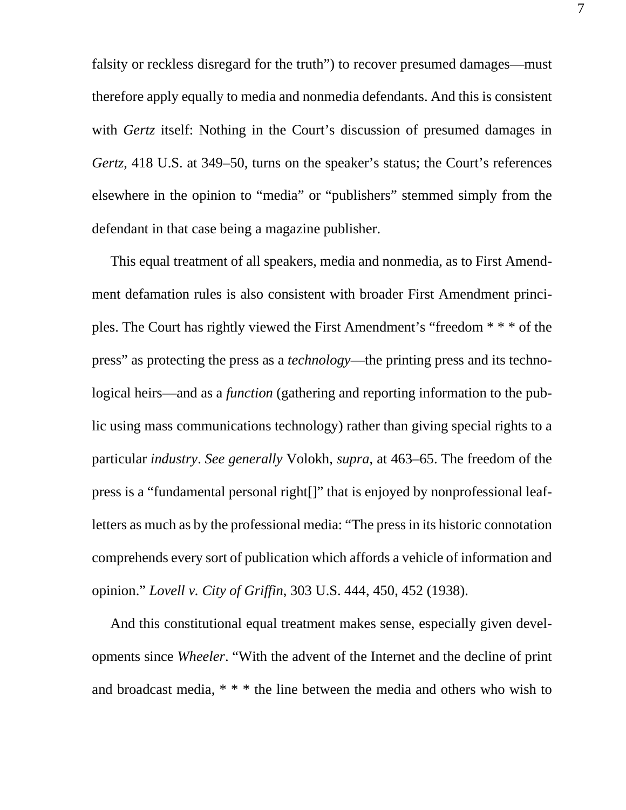falsity or reckless disregard for the truth") to recover presumed damages—must therefore apply equally to media and nonmedia defendants. And this is consistent with *Gertz* itself: Nothing in the Court's discussion of presumed damages in *Gertz*, 418 U.S. at 349–50, turns on the speaker's status; the Court's references elsewhere in the opinion to "media" or "publishers" stemmed simply from the defendant in that case being a magazine publisher.

This equal treatment of all speakers, media and nonmedia, as to First Amendment defamation rules is also consistent with broader First Amendment principles. The Court has rightly viewed the First Amendment's "freedom \* \* \* of the press" as protecting the press as a *technology*—the printing press and its technological heirs—and as a *function* (gathering and reporting information to the public using mass communications technology) rather than giving special rights to a particular *industry*. *See generally* Volokh, *supra*, at 463–65. The freedom of the press is a "fundamental personal right[]" that is enjoyed by nonprofessional leafletters as much as by the professional media: "The press in its historic connotation comprehends every sort of publication which affords a vehicle of information and opinion." *Lovell v. City of Griffin*, 303 U.S. 444, 450, 452 (1938).

And this constitutional equal treatment makes sense, especially given developments since *Wheeler*. "With the advent of the Internet and the decline of print and broadcast media, \* \* \* the line between the media and others who wish to 7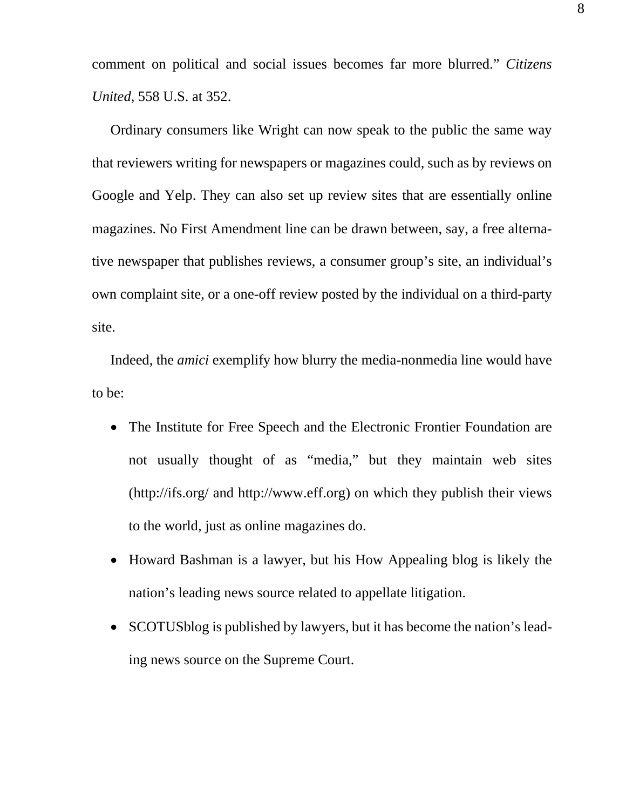comment on political and social issues becomes far more blurred." *Citizens United*, 558 U.S. at 352.

Ordinary consumers like Wright can now speak to the public the same way that reviewers writing for newspapers or magazines could, such as by reviews on Google and Yelp. They can also set up review sites that are essentially online magazines. No First Amendment line can be drawn between, say, a free alternative newspaper that publishes reviews, a consumer group's site, an individual's own complaint site, or a one-off review posted by the individual on a third-party site.

Indeed, the *amici* exemplify how blurry the media-nonmedia line would have to be:

- The Institute for Free Speech and the Electronic Frontier Foundation are not usually thought of as "media," but they maintain web sites (http://ifs.org/ and http://www.eff.org) on which they publish their views to the world, just as online magazines do.
- Howard Bashman is a lawyer, but his How Appealing blog is likely the nation's leading news source related to appellate litigation.
- SCOTUSblog is published by lawyers, but it has become the nation's leading news source on the Supreme Court.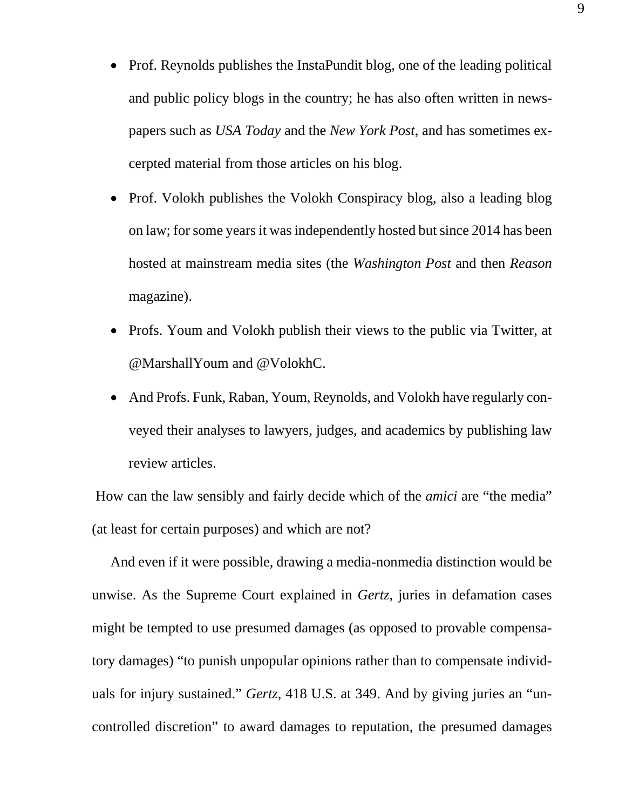- Prof. Reynolds publishes the InstaPundit blog, one of the leading political and public policy blogs in the country; he has also often written in newspapers such as *USA Today* and the *New York Post*, and has sometimes excerpted material from those articles on his blog.
- Prof. Volokh publishes the Volokh Conspiracy blog, also a leading blog on law; for some years it was independently hosted but since 2014 has been hosted at mainstream media sites (the *Washington Post* and then *Reason*  magazine).
- Profs. Youm and Volokh publish their views to the public via Twitter, at @MarshallYoum and @VolokhC.
- And Profs. Funk, Raban, Youm, Reynolds, and Volokh have regularly conveyed their analyses to lawyers, judges, and academics by publishing law review articles.

How can the law sensibly and fairly decide which of the *amici* are "the media" (at least for certain purposes) and which are not?

And even if it were possible, drawing a media-nonmedia distinction would be unwise. As the Supreme Court explained in *Gertz*, juries in defamation cases might be tempted to use presumed damages (as opposed to provable compensatory damages) "to punish unpopular opinions rather than to compensate individuals for injury sustained." *Gertz*, 418 U.S. at 349. And by giving juries an "uncontrolled discretion" to award damages to reputation, the presumed damages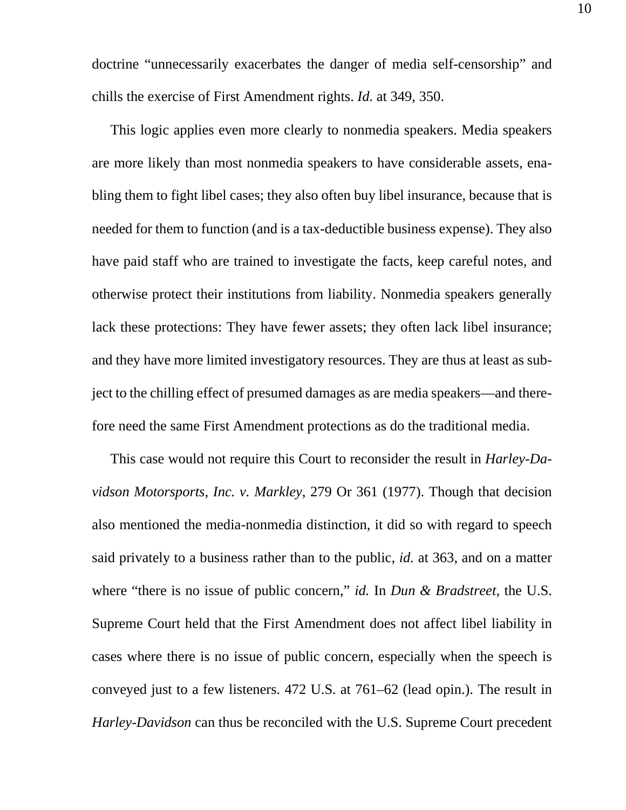doctrine "unnecessarily exacerbates the danger of media self-censorship" and chills the exercise of First Amendment rights. *Id.* at 349, 350.

This logic applies even more clearly to nonmedia speakers. Media speakers are more likely than most nonmedia speakers to have considerable assets, enabling them to fight libel cases; they also often buy libel insurance, because that is needed for them to function (and is a tax-deductible business expense). They also have paid staff who are trained to investigate the facts, keep careful notes, and otherwise protect their institutions from liability. Nonmedia speakers generally lack these protections: They have fewer assets; they often lack libel insurance; and they have more limited investigatory resources. They are thus at least as subject to the chilling effect of presumed damages as are media speakers—and therefore need the same First Amendment protections as do the traditional media.

This case would not require this Court to reconsider the result in *Harley-Davidson Motorsports, Inc. v. Markley*, 279 Or 361 (1977). Though that decision also mentioned the media-nonmedia distinction, it did so with regard to speech said privately to a business rather than to the public, *id.* at 363, and on a matter where "there is no issue of public concern," *id.* In *Dun & Bradstreet*, the U.S. Supreme Court held that the First Amendment does not affect libel liability in cases where there is no issue of public concern, especially when the speech is conveyed just to a few listeners. 472 U.S*.* at 761–62 (lead opin.). The result in *Harley-Davidson* can thus be reconciled with the U.S. Supreme Court precedent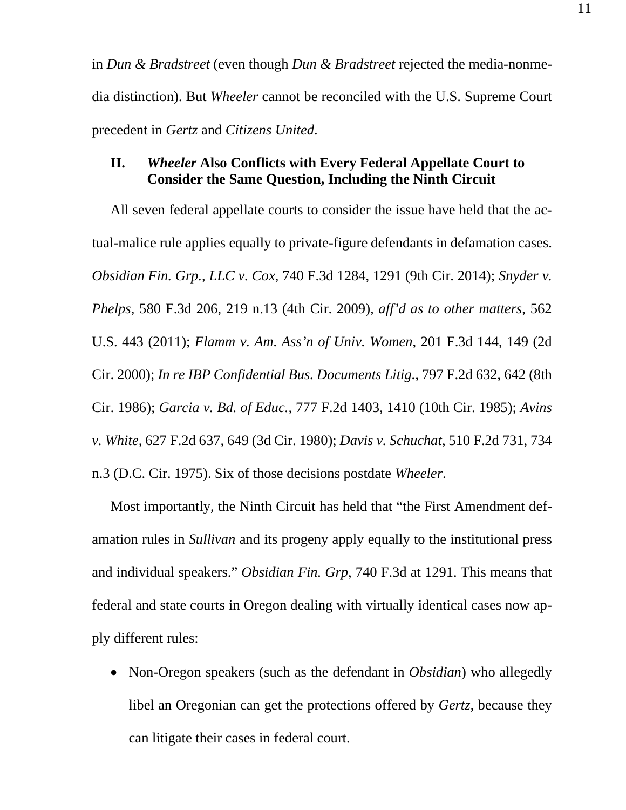in *Dun & Bradstreet* (even though *Dun & Bradstreet* rejected the media-nonmedia distinction). But *Wheeler* cannot be reconciled with the U.S. Supreme Court precedent in *Gertz* and *Citizens United*.

### **II.** *Wheeler* **Also Conflicts with Every Federal Appellate Court to Consider the Same Question, Including the Ninth Circuit**

All seven federal appellate courts to consider the issue have held that the actual-malice rule applies equally to private-figure defendants in defamation cases. *Obsidian Fin. Grp., LLC v. Cox*, 740 F.3d 1284, 1291 (9th Cir. 2014); *Snyder v. Phelps*, 580 F.3d 206, 219 n.13 (4th Cir. 2009), *aff'd as to other matters*, 562 U.S. 443 (2011); *Flamm v. Am. Ass'n of Univ. Women*, 201 F.3d 144, 149 (2d Cir. 2000); *In re IBP Confidential Bus. Documents Litig.*, 797 F.2d 632, 642 (8th Cir. 1986); *Garcia v. Bd. of Educ.*, 777 F.2d 1403, 1410 (10th Cir. 1985); *Avins v. White*, 627 F.2d 637, 649 (3d Cir. 1980); *Davis v. Schuchat*, 510 F.2d 731, 734 n.3 (D.C. Cir. 1975). Six of those decisions postdate *Wheeler*.

Most importantly, the Ninth Circuit has held that "the First Amendment defamation rules in *Sullivan* and its progeny apply equally to the institutional press and individual speakers." *Obsidian Fin. Grp*, 740 F.3d at 1291. This means that federal and state courts in Oregon dealing with virtually identical cases now apply different rules:

• Non-Oregon speakers (such as the defendant in *Obsidian*) who allegedly libel an Oregonian can get the protections offered by *Gertz*, because they can litigate their cases in federal court.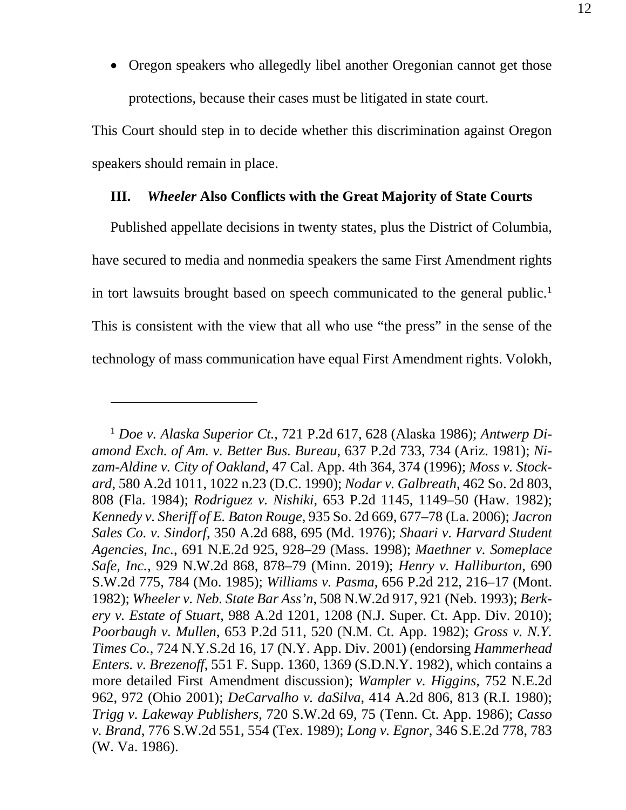• Oregon speakers who allegedly libel another Oregonian cannot get those protections, because their cases must be litigated in state court.

This Court should step in to decide whether this discrimination against Oregon speakers should remain in place.

### **III.** *Wheeler* **Also Conflicts with the Great Majority of State Courts**

Published appellate decisions in twenty states, plus the District of Columbia, have secured to media and nonmedia speakers the same First Amendment rights in tort lawsuits brought based on speech communicated to the general public.<sup>1</sup> This is consistent with the view that all who use "the press" in the sense of the technology of mass communication have equal First Amendment rights. Volokh,

<sup>1</sup> *Doe v. Alaska Superior Ct.*, 721 P.2d 617, 628 (Alaska 1986); *Antwerp Diamond Exch. of Am. v. Better Bus. Bureau*, 637 P.2d 733, 734 (Ariz. 1981); *Nizam-Aldine v. City of Oakland*, 47 Cal. App. 4th 364, 374 (1996); *Moss v. Stockard*, 580 A.2d 1011, 1022 n.23 (D.C. 1990); *Nodar v. Galbreath*, 462 So. 2d 803, 808 (Fla. 1984); *Rodriguez v. Nishiki*, 653 P.2d 1145, 1149–50 (Haw. 1982); *Kennedy v. Sheriff of E. Baton Rouge*, 935 So. 2d 669, 677–78 (La. 2006); *Jacron Sales Co. v. Sindorf*, 350 A.2d 688, 695 (Md. 1976); *Shaari v. Harvard Student Agencies, Inc.*, 691 N.E.2d 925, 928–29 (Mass. 1998); *Maethner v. Someplace Safe, Inc.*, 929 N.W.2d 868, 878–79 (Minn. 2019); *Henry v. Halliburton*, 690 S.W.2d 775, 784 (Mo. 1985); *Williams v. Pasma*, 656 P.2d 212, 216–17 (Mont. 1982); *Wheeler v. Neb. State Bar Ass'n*, 508 N.W.2d 917, 921 (Neb. 1993); *Berkery v. Estate of Stuart*, 988 A.2d 1201, 1208 (N.J. Super. Ct. App. Div. 2010); *Poorbaugh v. Mullen*, 653 P.2d 511, 520 (N.M. Ct. App. 1982); *Gross v. N.Y. Times Co.*, 724 N.Y.S.2d 16, 17 (N.Y. App. Div. 2001) (endorsing *Hammerhead Enters. v. Brezenoff*, 551 F. Supp. 1360, 1369 (S.D.N.Y. 1982), which contains a more detailed First Amendment discussion); *Wampler v. Higgins*, 752 N.E.2d 962, 972 (Ohio 2001); *DeCarvalho v. daSilva*, 414 A.2d 806, 813 (R.I. 1980); *Trigg v. Lakeway Publishers*, 720 S.W.2d 69, 75 (Tenn. Ct. App. 1986); *Casso v. Brand*, 776 S.W.2d 551, 554 (Tex. 1989); *Long v. Egnor*, 346 S.E.2d 778, 783 (W. Va. 1986).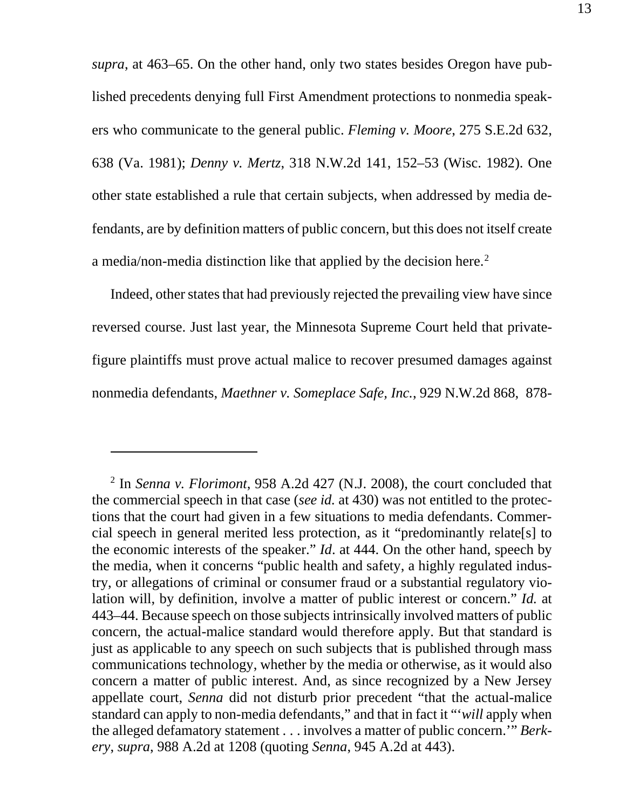*supra*, at 463–65. On the other hand, only two states besides Oregon have published precedents denying full First Amendment protections to nonmedia speakers who communicate to the general public. *Fleming v. Moore*, 275 S.E.2d 632, 638 (Va. 1981); *Denny v. Mertz*, 318 N.W.2d 141, 152–53 (Wisc. 1982). One other state established a rule that certain subjects, when addressed by media defendants, are by definition matters of public concern, but this does not itself create a media/non-media distinction like that applied by the decision here. 2

Indeed, other states that had previously rejected the prevailing view have since reversed course. Just last year, the Minnesota Supreme Court held that privatefigure plaintiffs must prove actual malice to recover presumed damages against nonmedia defendants, *Maethner v. Someplace Safe, Inc.*, 929 N.W.2d 868, 878-

<sup>2</sup> In *Senna v. Florimont*, 958 A.2d 427 (N.J. 2008), the court concluded that the commercial speech in that case (*see id.* at 430) was not entitled to the protections that the court had given in a few situations to media defendants. Commercial speech in general merited less protection, as it "predominantly relate[s] to the economic interests of the speaker." *Id*. at 444. On the other hand, speech by the media, when it concerns "public health and safety, a highly regulated industry, or allegations of criminal or consumer fraud or a substantial regulatory violation will, by definition, involve a matter of public interest or concern." *Id.* at 443–44. Because speech on those subjects intrinsically involved matters of public concern, the actual-malice standard would therefore apply. But that standard is just as applicable to any speech on such subjects that is published through mass communications technology, whether by the media or otherwise, as it would also concern a matter of public interest. And, as since recognized by a New Jersey appellate court, *Senna* did not disturb prior precedent "that the actual-malice standard can apply to non-media defendants," and that in fact it "'*will* apply when the alleged defamatory statement . . . involves a matter of public concern.'" *Berkery*, *supra*, 988 A.2d at 1208 (quoting *Senna*, 945 A.2d at 443).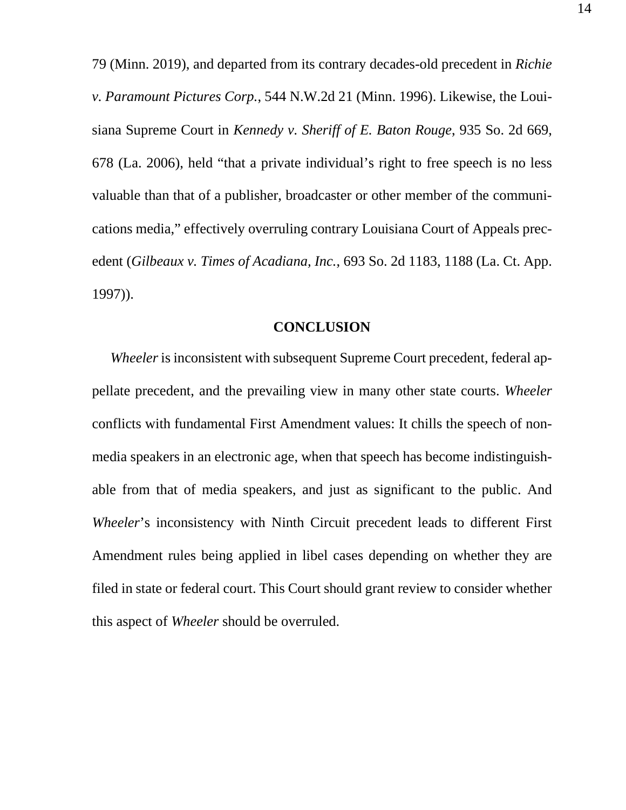79 (Minn. 2019), and departed from its contrary decades-old precedent in *Richie v. Paramount Pictures Corp.*, 544 N.W.2d 21 (Minn. 1996). Likewise, the Louisiana Supreme Court in *Kennedy v. Sheriff of E. Baton Rouge*, 935 So. 2d 669, 678 (La. 2006), held "that a private individual's right to free speech is no less valuable than that of a publisher, broadcaster or other member of the communications media," effectively overruling contrary Louisiana Court of Appeals precedent (*Gilbeaux v. Times of Acadiana, Inc.*, 693 So. 2d 1183, 1188 (La. Ct. App. 1997)).

### **CONCLUSION**

*Wheeler* is inconsistent with subsequent Supreme Court precedent, federal appellate precedent, and the prevailing view in many other state courts. *Wheeler* conflicts with fundamental First Amendment values: It chills the speech of nonmedia speakers in an electronic age, when that speech has become indistinguishable from that of media speakers, and just as significant to the public. And *Wheeler*'s inconsistency with Ninth Circuit precedent leads to different First Amendment rules being applied in libel cases depending on whether they are filed in state or federal court. This Court should grant review to consider whether this aspect of *Wheeler* should be overruled.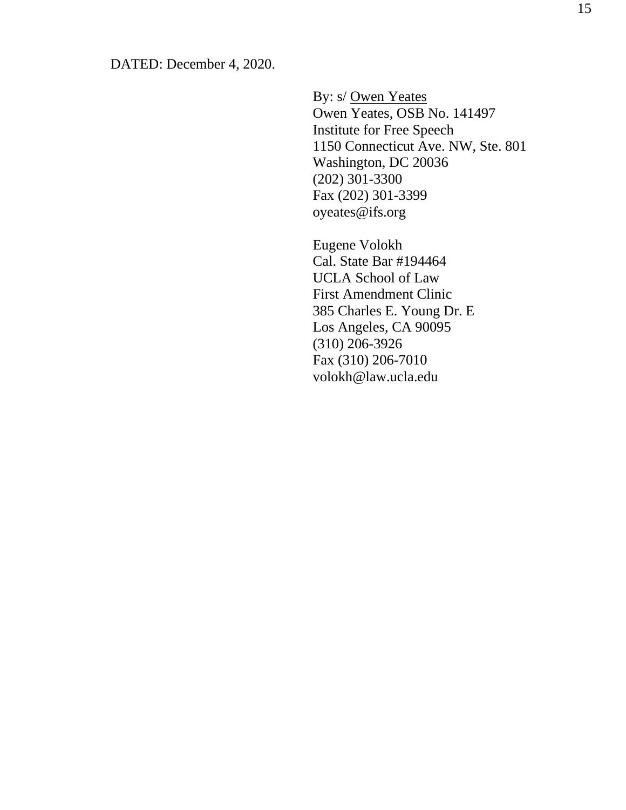By: s/ Owen Yeates Owen Yeates, OSB No. 141497 Institute for Free Speech 1150 Connecticut Ave. NW, Ste. 801 Washington, DC 20036 (202) 301-3300 Fax (202) 301-3399 oyeates@ifs.org

Eugene Volokh Cal. State Bar #194464 UCLA School of Law First Amendment Clinic 385 Charles E. Young Dr. E Los Angeles, CA 90095 (310) 206-3926 Fax (310) 206-7010 volokh@law.ucla.edu